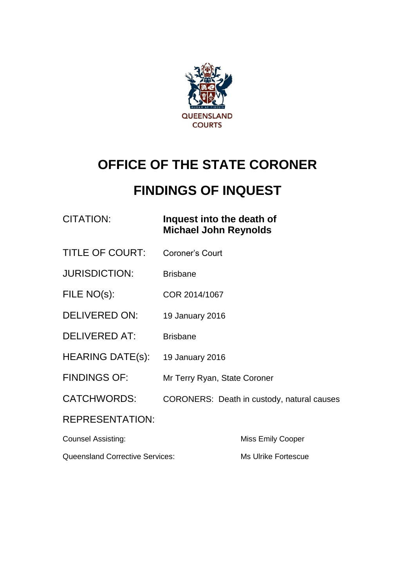

# **OFFICE OF THE STATE CORONER**

## **FINDINGS OF INQUEST**

| CITATION: | Inquest in |
|-----------|------------|
|           | Michael.   |

#### nto the death of **Michael John Reynolds**

- TITLE OF COURT: Coroner's Court
- JURISDICTION: Brisbane
- FILE NO(s): COR 2014/1067
- DELIVERED ON: 19 January 2016
- DELIVERED AT: Brisbane
- HEARING DATE(s): 19 January 2016
- FINDINGS OF: Mr Terry Ryan, State Coroner
- CATCHWORDS: CORONERS: Death in custody, natural causes

#### REPRESENTATION:

| <b>Counsel Assisting:</b>              | Miss Emily Cooper   |  |
|----------------------------------------|---------------------|--|
| <b>Queensland Corrective Services:</b> | Ms Ulrike Fortescue |  |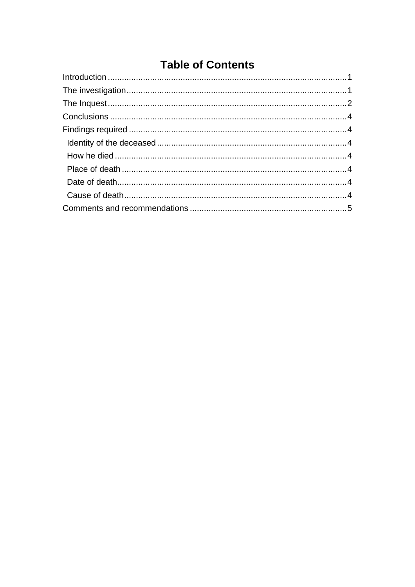### **Table of Contents**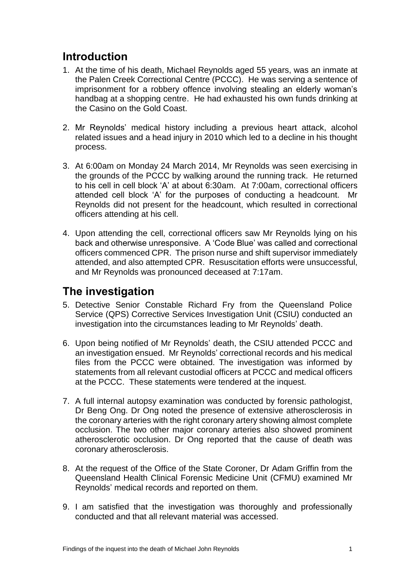#### <span id="page-2-0"></span>**Introduction**

- 1. At the time of his death, Michael Reynolds aged 55 years, was an inmate at the Palen Creek Correctional Centre (PCCC). He was serving a sentence of imprisonment for a robbery offence involving stealing an elderly woman's handbag at a shopping centre. He had exhausted his own funds drinking at the Casino on the Gold Coast.
- 2. Mr Reynolds' medical history including a previous heart attack, alcohol related issues and a head injury in 2010 which led to a decline in his thought process.
- 3. At 6:00am on Monday 24 March 2014, Mr Reynolds was seen exercising in the grounds of the PCCC by walking around the running track. He returned to his cell in cell block 'A' at about 6:30am. At 7:00am, correctional officers attended cell block 'A' for the purposes of conducting a headcount. Mr Reynolds did not present for the headcount, which resulted in correctional officers attending at his cell.
- 4. Upon attending the cell, correctional officers saw Mr Reynolds lying on his back and otherwise unresponsive. A 'Code Blue' was called and correctional officers commenced CPR. The prison nurse and shift supervisor immediately attended, and also attempted CPR. Resuscitation efforts were unsuccessful, and Mr Reynolds was pronounced deceased at 7:17am.

#### <span id="page-2-1"></span>**The investigation**

- 5. Detective Senior Constable Richard Fry from the Queensland Police Service (QPS) Corrective Services Investigation Unit (CSIU) conducted an investigation into the circumstances leading to Mr Reynolds' death.
- 6. Upon being notified of Mr Reynolds' death, the CSIU attended PCCC and an investigation ensued. Mr Reynolds' correctional records and his medical files from the PCCC were obtained. The investigation was informed by statements from all relevant custodial officers at PCCC and medical officers at the PCCC. These statements were tendered at the inquest.
- 7. A full internal autopsy examination was conducted by forensic pathologist, Dr Beng Ong. Dr Ong noted the presence of extensive atherosclerosis in the coronary arteries with the right coronary artery showing almost complete occlusion. The two other major coronary arteries also showed prominent atherosclerotic occlusion. Dr Ong reported that the cause of death was coronary atherosclerosis.
- 8. At the request of the Office of the State Coroner, Dr Adam Griffin from the Queensland Health Clinical Forensic Medicine Unit (CFMU) examined Mr Reynolds' medical records and reported on them.
- 9. I am satisfied that the investigation was thoroughly and professionally conducted and that all relevant material was accessed.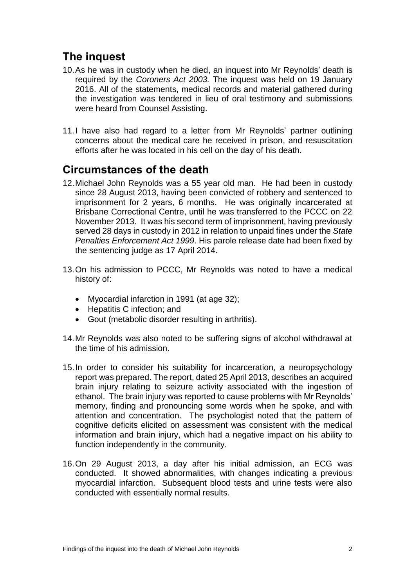### <span id="page-3-0"></span>**The inquest**

- 10.As he was in custody when he died, an inquest into Mr Reynolds' death is required by the *Coroners Act 2003.* The inquest was held on 19 January 2016. All of the statements, medical records and material gathered during the investigation was tendered in lieu of oral testimony and submissions were heard from Counsel Assisting.
- 11.I have also had regard to a letter from Mr Reynolds' partner outlining concerns about the medical care he received in prison, and resuscitation efforts after he was located in his cell on the day of his death.

#### **Circumstances of the death**

- 12.Michael John Reynolds was a 55 year old man. He had been in custody since 28 August 2013, having been convicted of robbery and sentenced to imprisonment for 2 years, 6 months. He was originally incarcerated at Brisbane Correctional Centre, until he was transferred to the PCCC on 22 November 2013. It was his second term of imprisonment, having previously served 28 days in custody in 2012 in relation to unpaid fines under the *State Penalties Enforcement Act 1999*. His parole release date had been fixed by the sentencing judge as 17 April 2014.
- 13.On his admission to PCCC, Mr Reynolds was noted to have a medical history of:
	- Myocardial infarction in 1991 (at age 32);
	- Hepatitis C infection: and
	- Gout (metabolic disorder resulting in arthritis).
- 14.Mr Reynolds was also noted to be suffering signs of alcohol withdrawal at the time of his admission.
- 15.In order to consider his suitability for incarceration, a neuropsychology report was prepared. The report, dated 25 April 2013, describes an acquired brain injury relating to seizure activity associated with the ingestion of ethanol. The brain injury was reported to cause problems with Mr Reynolds' memory, finding and pronouncing some words when he spoke, and with attention and concentration. The psychologist noted that the pattern of cognitive deficits elicited on assessment was consistent with the medical information and brain injury, which had a negative impact on his ability to function independently in the community.
- 16.On 29 August 2013, a day after his initial admission, an ECG was conducted. It showed abnormalities, with changes indicating a previous myocardial infarction. Subsequent blood tests and urine tests were also conducted with essentially normal results.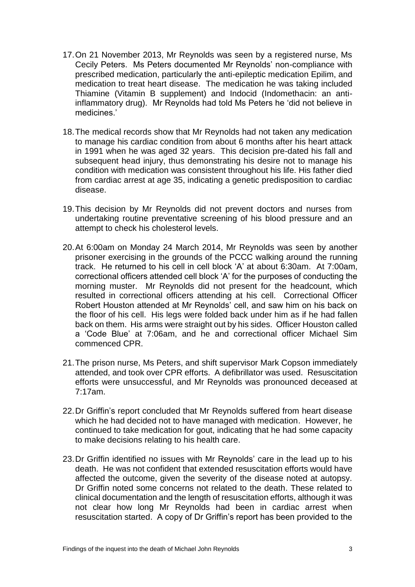- 17.On 21 November 2013, Mr Reynolds was seen by a registered nurse, Ms Cecily Peters. Ms Peters documented Mr Reynolds' non-compliance with prescribed medication, particularly the anti-epileptic medication Epilim, and medication to treat heart disease. The medication he was taking included Thiamine (Vitamin B supplement) and Indocid (Indomethacin: an antiinflammatory drug). Mr Reynolds had told Ms Peters he 'did not believe in medicines.'
- 18.The medical records show that Mr Reynolds had not taken any medication to manage his cardiac condition from about 6 months after his heart attack in 1991 when he was aged 32 years. This decision pre-dated his fall and subsequent head injury, thus demonstrating his desire not to manage his condition with medication was consistent throughout his life. His father died from cardiac arrest at age 35, indicating a genetic predisposition to cardiac disease.
- 19.This decision by Mr Reynolds did not prevent doctors and nurses from undertaking routine preventative screening of his blood pressure and an attempt to check his cholesterol levels.
- 20.At 6:00am on Monday 24 March 2014, Mr Reynolds was seen by another prisoner exercising in the grounds of the PCCC walking around the running track. He returned to his cell in cell block 'A' at about 6:30am. At 7:00am, correctional officers attended cell block 'A' for the purposes of conducting the morning muster. Mr Reynolds did not present for the headcount, which resulted in correctional officers attending at his cell. Correctional Officer Robert Houston attended at Mr Reynolds' cell, and saw him on his back on the floor of his cell. His legs were folded back under him as if he had fallen back on them. His arms were straight out by his sides. Officer Houston called a 'Code Blue' at 7:06am, and he and correctional officer Michael Sim commenced CPR.
- 21.The prison nurse, Ms Peters, and shift supervisor Mark Copson immediately attended, and took over CPR efforts. A defibrillator was used. Resuscitation efforts were unsuccessful, and Mr Reynolds was pronounced deceased at 7:17am.
- 22.Dr Griffin's report concluded that Mr Reynolds suffered from heart disease which he had decided not to have managed with medication. However, he continued to take medication for gout, indicating that he had some capacity to make decisions relating to his health care.
- 23.Dr Griffin identified no issues with Mr Reynolds' care in the lead up to his death. He was not confident that extended resuscitation efforts would have affected the outcome, given the severity of the disease noted at autopsy. Dr Griffin noted some concerns not related to the death. These related to clinical documentation and the length of resuscitation efforts, although it was not clear how long Mr Reynolds had been in cardiac arrest when resuscitation started. A copy of Dr Griffin's report has been provided to the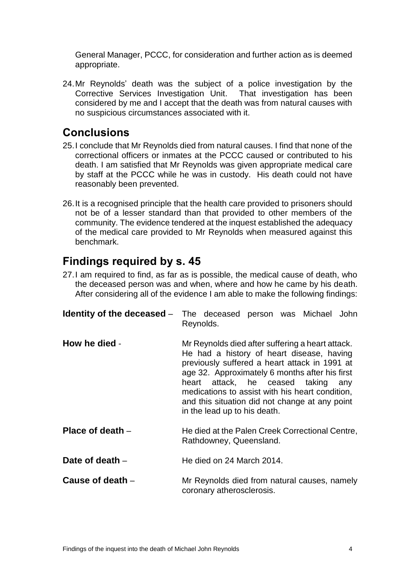General Manager, PCCC, for consideration and further action as is deemed appropriate.

24.Mr Reynolds' death was the subject of a police investigation by the Corrective Services Investigation Unit. That investigation has been considered by me and I accept that the death was from natural causes with no suspicious circumstances associated with it.

#### <span id="page-5-0"></span>**Conclusions**

- 25.I conclude that Mr Reynolds died from natural causes. I find that none of the correctional officers or inmates at the PCCC caused or contributed to his death. I am satisfied that Mr Reynolds was given appropriate medical care by staff at the PCCC while he was in custody. His death could not have reasonably been prevented.
- 26.It is a recognised principle that the health care provided to prisoners should not be of a lesser standard than that provided to other members of the community. The evidence tendered at the inquest established the adequacy of the medical care provided to Mr Reynolds when measured against this benchmark.

#### <span id="page-5-1"></span>**Findings required by s. 45**

27.I am required to find, as far as is possible, the medical cause of death, who the deceased person was and when, where and how he came by his death. After considering all of the evidence I am able to make the following findings:

<span id="page-5-6"></span><span id="page-5-5"></span><span id="page-5-4"></span><span id="page-5-3"></span><span id="page-5-2"></span>

|                   | <b>Identity of the deceased</b> – The deceased person was Michael John<br>Reynolds.                                                                                                                                                                                                                                                                                         |
|-------------------|-----------------------------------------------------------------------------------------------------------------------------------------------------------------------------------------------------------------------------------------------------------------------------------------------------------------------------------------------------------------------------|
| How he died -     | Mr Reynolds died after suffering a heart attack.<br>He had a history of heart disease, having<br>previously suffered a heart attack in 1991 at<br>age 32. Approximately 6 months after his first<br>heart attack, he ceased taking any<br>medications to assist with his heart condition,<br>and this situation did not change at any point<br>in the lead up to his death. |
| Place of death -  | He died at the Palen Creek Correctional Centre,<br>Rathdowney, Queensland.                                                                                                                                                                                                                                                                                                  |
| Date of death $-$ | He died on 24 March 2014.                                                                                                                                                                                                                                                                                                                                                   |
| Cause of death -  | Mr Reynolds died from natural causes, namely<br>coronary atherosclerosis.                                                                                                                                                                                                                                                                                                   |